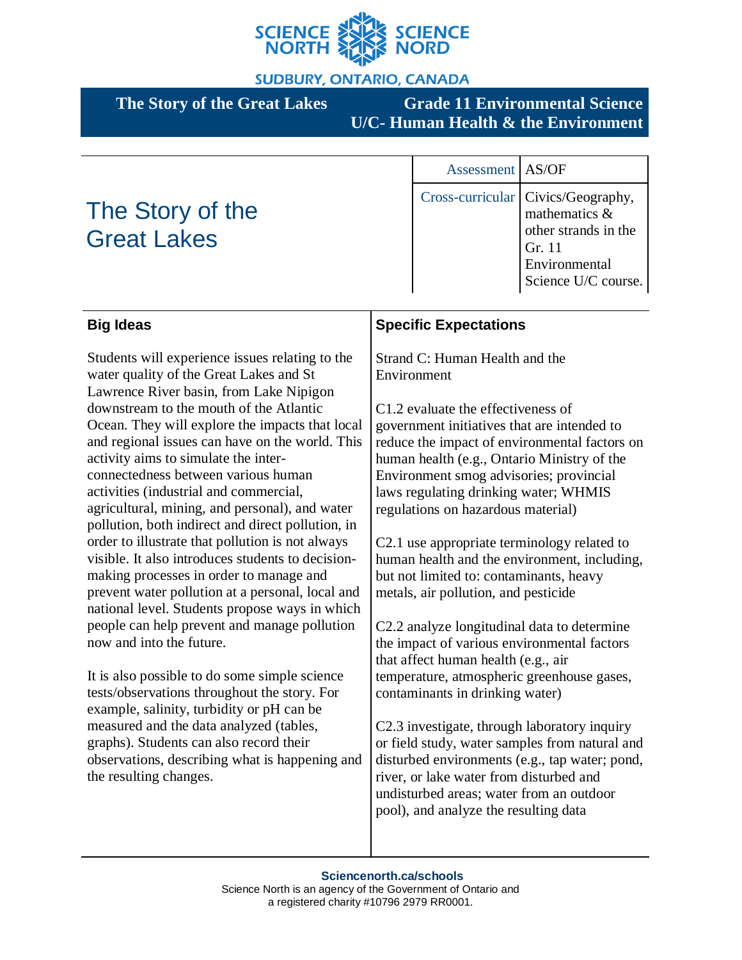

**SUDBURY, ONTARIO, CANADA** 

**The Story of the Great Lakes Grade 11 Environmental Science U/C- Human Health & the Environment**

# The Story of the Great Lakes

Assessment AS/OF Cross-curricular Civics/Geography, mathematics & other strands in the Gr. 11 Environmental Science U/C course.

| <b>Big Ideas</b>                                                                                                                                                                                                                                                                                                                                                                                                                                                                                                                  | <b>Specific Expectations</b>                                                                                                                                                                                                                                                                                                                                                                                                                          |
|-----------------------------------------------------------------------------------------------------------------------------------------------------------------------------------------------------------------------------------------------------------------------------------------------------------------------------------------------------------------------------------------------------------------------------------------------------------------------------------------------------------------------------------|-------------------------------------------------------------------------------------------------------------------------------------------------------------------------------------------------------------------------------------------------------------------------------------------------------------------------------------------------------------------------------------------------------------------------------------------------------|
| Students will experience issues relating to the<br>water quality of the Great Lakes and St<br>Lawrence River basin, from Lake Nipigon                                                                                                                                                                                                                                                                                                                                                                                             | Strand C: Human Health and the<br>Environment                                                                                                                                                                                                                                                                                                                                                                                                         |
| downstream to the mouth of the Atlantic<br>Ocean. They will explore the impacts that local<br>and regional issues can have on the world. This<br>activity aims to simulate the inter-<br>connectedness between various human<br>activities (industrial and commercial,<br>agricultural, mining, and personal), and water<br>pollution, both indirect and direct pollution, in<br>order to illustrate that pollution is not always<br>visible. It also introduces students to decision-<br>making processes in order to manage and | C1.2 evaluate the effectiveness of<br>government initiatives that are intended to<br>reduce the impact of environmental factors on<br>human health (e.g., Ontario Ministry of the<br>Environment smog advisories; provincial<br>laws regulating drinking water; WHMIS<br>regulations on hazardous material)<br>C2.1 use appropriate terminology related to<br>human health and the environment, including,<br>but not limited to: contaminants, heavy |
| prevent water pollution at a personal, local and<br>national level. Students propose ways in which<br>people can help prevent and manage pollution<br>now and into the future.                                                                                                                                                                                                                                                                                                                                                    | metals, air pollution, and pesticide<br>C2.2 analyze longitudinal data to determine<br>the impact of various environmental factors<br>that affect human health (e.g., air                                                                                                                                                                                                                                                                             |
| It is also possible to do some simple science<br>tests/observations throughout the story. For<br>example, salinity, turbidity or pH can be<br>measured and the data analyzed (tables,<br>graphs). Students can also record their<br>observations, describing what is happening and<br>the resulting changes.                                                                                                                                                                                                                      | temperature, atmospheric greenhouse gases,<br>contaminants in drinking water)<br>C2.3 investigate, through laboratory inquiry<br>or field study, water samples from natural and<br>disturbed environments (e.g., tap water; pond,<br>river, or lake water from disturbed and<br>undisturbed areas; water from an outdoor<br>pool), and analyze the resulting data                                                                                     |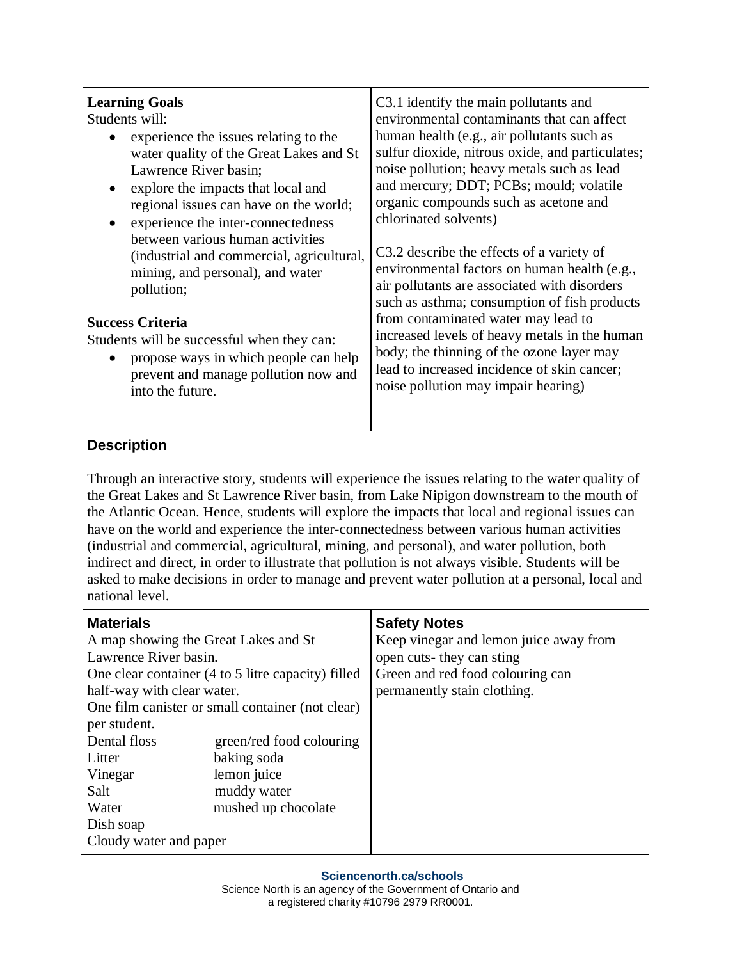## **Description**

Through an interactive story, students will experience the issues relating to the water quality of the Great Lakes and St Lawrence River basin, from Lake Nipigon downstream to the mouth of the Atlantic Ocean. Hence, students will explore the impacts that local and regional issues can have on the world and experience the inter-connectedness between various human activities (industrial and commercial, agricultural, mining, and personal), and water pollution, both indirect and direct, in order to illustrate that pollution is not always visible. Students will be asked to make decisions in order to manage and prevent water pollution at a personal, local and national level.

| <b>Materials</b>                                   |                          | <b>Safety Notes</b>                    |
|----------------------------------------------------|--------------------------|----------------------------------------|
| A map showing the Great Lakes and St               |                          | Keep vinegar and lemon juice away from |
| Lawrence River basin.                              |                          | open cuts-they can sting               |
| One clear container (4 to 5 litre capacity) filled |                          | Green and red food colouring can       |
| half-way with clear water.                         |                          | permanently stain clothing.            |
| One film can ster or small container (not clear)   |                          |                                        |
| per student.                                       |                          |                                        |
| Dental floss                                       | green/red food colouring |                                        |
| Litter                                             | baking soda              |                                        |
| Vinegar                                            | lemon juice              |                                        |
| Salt                                               | muddy water              |                                        |
| Water                                              | mushed up chocolate      |                                        |
| Dish soap                                          |                          |                                        |
| Cloudy water and paper                             |                          |                                        |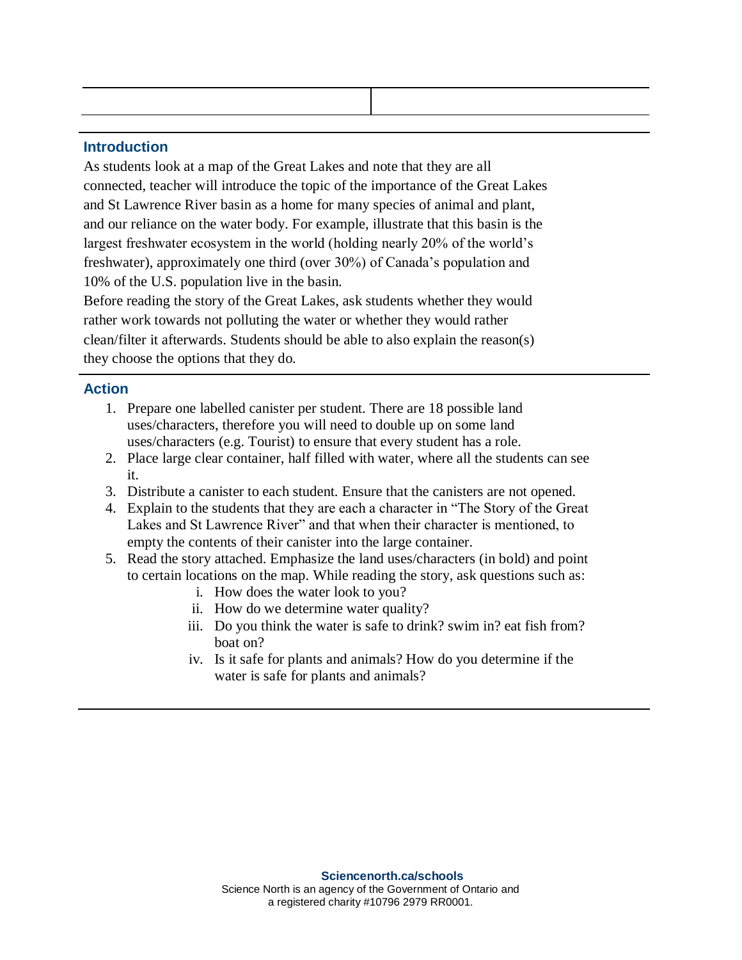#### **Introduction**

As students look at a map of the Great Lakes and note that they are all connected, teacher will introduce the topic of the importance of the Great Lakes and St Lawrence River basin as a home for many species of animal and plant, and our reliance on the water body. For example, illustrate that this basin is the largest freshwater ecosystem in the world (holding nearly 20% of the world's freshwater), approximately one third (over 30%) of Canada's population and 10% of the U.S. population live in the basin.

Before reading the story of the Great Lakes, ask students whether they would rather work towards not polluting the water or whether they would rather clean/filter it afterwards. Students should be able to also explain the reason(s) they choose the options that they do.

#### **Action**

- 1. Prepare one labelled canister per student. There are 18 possible land uses/characters, therefore you will need to double up on some land uses/characters (e.g. Tourist) to ensure that every student has a role.
- 2. Place large clear container, half filled with water, where all the students can see it.
- 3. Distribute a canister to each student. Ensure that the canisters are not opened.
- 4. Explain to the students that they are each a character in "The Story of the Great Lakes and St Lawrence River" and that when their character is mentioned, to empty the contents of their canister into the large container.
- 5. Read the story attached. Emphasize the land uses/characters (in bold) and point to certain locations on the map. While reading the story, ask questions such as:
	- i. How does the water look to you?
	- ii. How do we determine water quality?
	- iii. Do you think the water is safe to drink? swim in? eat fish from? boat on?
	- iv. Is it safe for plants and animals? How do you determine if the water is safe for plants and animals?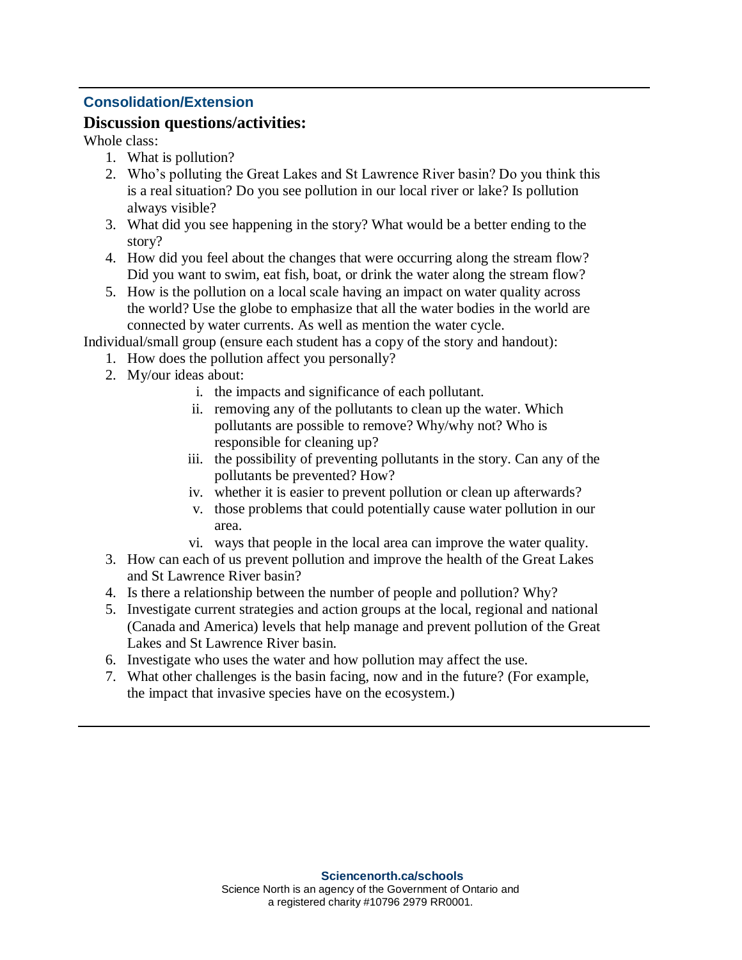## **Consolidation/Extension**

### **Discussion questions/activities:**

Whole class:

- 1. What is pollution?
- 2. Who's polluting the Great Lakes and St Lawrence River basin? Do you think this is a real situation? Do you see pollution in our local river or lake? Is pollution always visible?
- 3. What did you see happening in the story? What would be a better ending to the story?
- 4. How did you feel about the changes that were occurring along the stream flow? Did you want to swim, eat fish, boat, or drink the water along the stream flow?
- 5. How is the pollution on a local scale having an impact on water quality across the world? Use the globe to emphasize that all the water bodies in the world are connected by water currents. As well as mention the water cycle.

Individual/small group (ensure each student has a copy of the story and handout):

- 1. How does the pollution affect you personally?
- 2. My/our ideas about:
	- i. the impacts and significance of each pollutant.
	- ii. removing any of the pollutants to clean up the water. Which pollutants are possible to remove? Why/why not? Who is responsible for cleaning up?
	- iii. the possibility of preventing pollutants in the story. Can any of the pollutants be prevented? How?
	- iv. whether it is easier to prevent pollution or clean up afterwards?
	- v. those problems that could potentially cause water pollution in our area.
	- vi. ways that people in the local area can improve the water quality.
- 3. How can each of us prevent pollution and improve the health of the Great Lakes and St Lawrence River basin?
- 4. Is there a relationship between the number of people and pollution? Why?
- 5. Investigate current strategies and action groups at the local, regional and national (Canada and America) levels that help manage and prevent pollution of the Great Lakes and St Lawrence River basin.
- 6. Investigate who uses the water and how pollution may affect the use.
- 7. What other challenges is the basin facing, now and in the future? (For example, the impact that invasive species have on the ecosystem.)